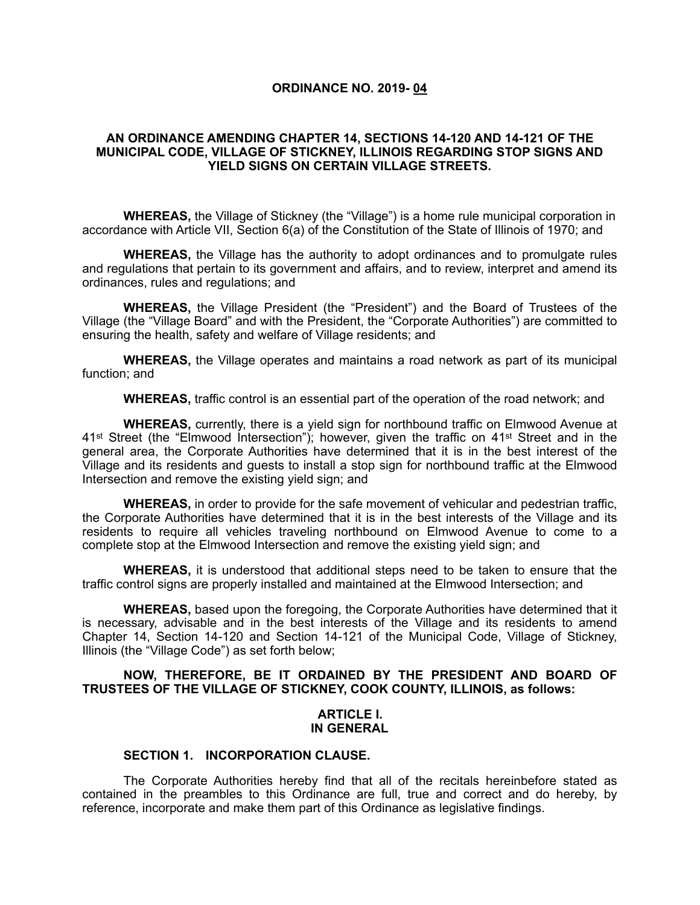## **ORDINANCE NO. 2019- 04**

# **AN ORDINANCE AMENDING CHAPTER 14, SECTIONS 14-120 AND 14-121 OF THE MUNICIPAL CODE, VILLAGE OF STICKNEY, ILLINOIS REGARDING STOP SIGNS AND YIELD SIGNS ON CERTAIN VILLAGE STREETS.**

**WHEREAS,** the Village of Stickney (the "Village") is a home rule municipal corporation in accordance with Article VII, Section 6(a) of the Constitution of the State of Illinois of 1970; and

**WHEREAS,** the Village has the authority to adopt ordinances and to promulgate rules and regulations that pertain to its government and affairs, and to review, interpret and amend its ordinances, rules and regulations; and

**WHEREAS,** the Village President (the "President") and the Board of Trustees of the Village (the "Village Board" and with the President, the "Corporate Authorities") are committed to ensuring the health, safety and welfare of Village residents; and

**WHEREAS,** the Village operates and maintains a road network as part of its municipal function; and

**WHEREAS,** traffic control is an essential part of the operation of the road network; and

**WHEREAS,** currently, there is a yield sign for northbound traffic on Elmwood Avenue at 41st Street (the "Elmwood Intersection"); however, given the traffic on 41st Street and in the general area, the Corporate Authorities have determined that it is in the best interest of the Village and its residents and guests to install a stop sign for northbound traffic at the Elmwood Intersection and remove the existing yield sign; and

**WHEREAS,** in order to provide for the safe movement of vehicular and pedestrian traffic, the Corporate Authorities have determined that it is in the best interests of the Village and its residents to require all vehicles traveling northbound on Elmwood Avenue to come to a complete stop at the Elmwood Intersection and remove the existing yield sign; and

**WHEREAS,** it is understood that additional steps need to be taken to ensure that the traffic control signs are properly installed and maintained at the Elmwood Intersection; and

**WHEREAS,** based upon the foregoing, the Corporate Authorities have determined that it is necessary, advisable and in the best interests of the Village and its residents to amend Chapter 14, Section 14-120 and Section 14-121 of the Municipal Code, Village of Stickney, Illinois (the "Village Code") as set forth below;

# **NOW, THEREFORE, BE IT ORDAINED BY THE PRESIDENT AND BOARD OF TRUSTEES OF THE VILLAGE OF STICKNEY, COOK COUNTY, ILLINOIS, as follows:**

#### **ARTICLE I. IN GENERAL**

# **SECTION 1. INCORPORATION CLAUSE.**

The Corporate Authorities hereby find that all of the recitals hereinbefore stated as contained in the preambles to this Ordinance are full, true and correct and do hereby, by reference, incorporate and make them part of this Ordinance as legislative findings.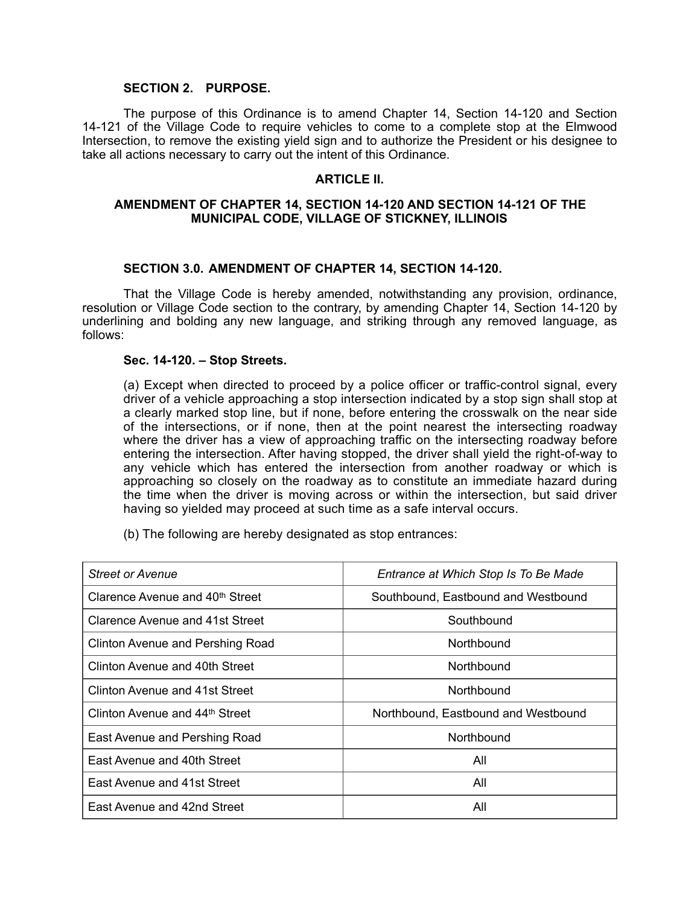## **SECTION 2. PURPOSE.**

The purpose of this Ordinance is to amend Chapter 14, Section 14-120 and Section 14-121 of the Village Code to require vehicles to come to a complete stop at the Elmwood Intersection, to remove the existing yield sign and to authorize the President or his designee to take all actions necessary to carry out the intent of this Ordinance.

## **ARTICLE II.**

# **AMENDMENT OF CHAPTER 14, SECTION 14-120 AND SECTION 14-121 OF THE MUNICIPAL CODE, VILLAGE OF STICKNEY, ILLINOIS**

## **SECTION 3.0. AMENDMENT OF CHAPTER 14, SECTION 14-120.**

That the Village Code is hereby amended, notwithstanding any provision, ordinance, resolution or Village Code section to the contrary, by amending Chapter 14, Section 14-120 by underlining and bolding any new language, and striking through any removed language, as follows:

#### **Sec. 14-120. – Stop Streets.**

(a) Except when directed to proceed by a police officer or traffic-control signal, every driver of a vehicle approaching a stop intersection indicated by a stop sign shall stop at a clearly marked stop line, but if none, before entering the crosswalk on the near side of the intersections, or if none, then at the point nearest the intersecting roadway where the driver has a view of approaching traffic on the intersecting roadway before entering the intersection. After having stopped, the driver shall yield the right-of-way to any vehicle which has entered the intersection from another roadway or which is approaching so closely on the roadway as to constitute an immediate hazard during the time when the driver is moving across or within the intersection, but said driver having so yielded may proceed at such time as a safe interval occurs.

(b) The following are hereby designated as stop entrances:

| Street or Avenue                            | Entrance at Which Stop Is To Be Made |
|---------------------------------------------|--------------------------------------|
| Clarence Avenue and 40 <sup>th</sup> Street | Southbound, Eastbound and Westbound  |
| Clarence Avenue and 41st Street             | Southbound                           |
| Clinton Avenue and Pershing Road            | Northbound                           |
| Clinton Avenue and 40th Street              | Northbound                           |
| Clinton Avenue and 41st Street              | Northbound                           |
| Clinton Avenue and 44th Street              | Northbound, Eastbound and Westbound  |
| East Avenue and Pershing Road               | Northbound                           |
| East Avenue and 40th Street                 | All                                  |
| East Avenue and 41st Street                 | All                                  |
| East Avenue and 42nd Street                 | All                                  |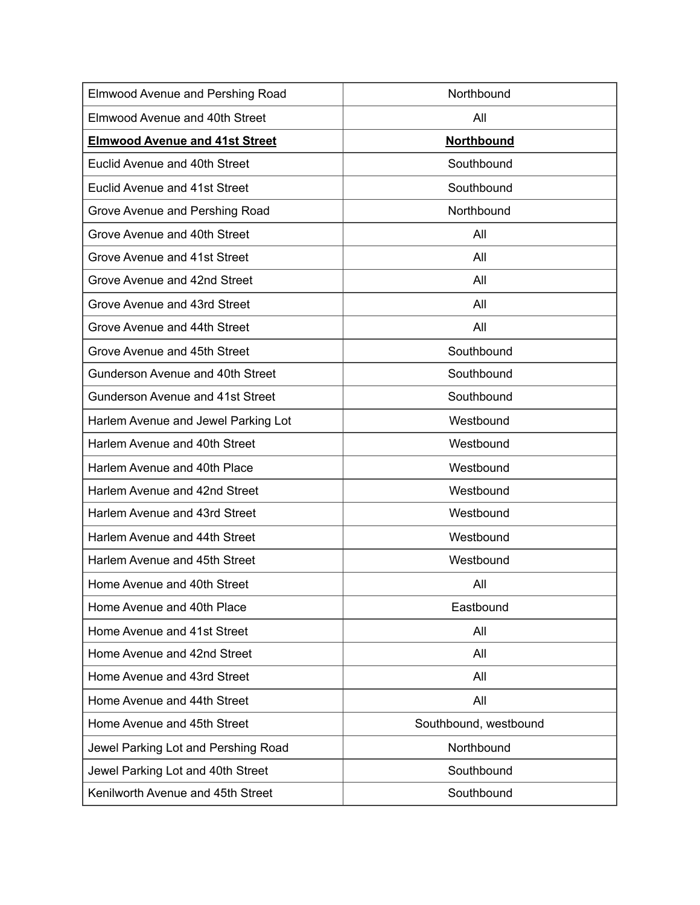| Elmwood Avenue and Pershing Road      | Northbound            |
|---------------------------------------|-----------------------|
| Elmwood Avenue and 40th Street        | All                   |
| <b>Elmwood Avenue and 41st Street</b> | <b>Northbound</b>     |
| Euclid Avenue and 40th Street         | Southbound            |
| <b>Euclid Avenue and 41st Street</b>  | Southbound            |
| Grove Avenue and Pershing Road        | Northbound            |
| Grove Avenue and 40th Street          | All                   |
| Grove Avenue and 41st Street          | All                   |
| Grove Avenue and 42nd Street          | All                   |
| Grove Avenue and 43rd Street          | All                   |
| Grove Avenue and 44th Street          | All                   |
| Grove Avenue and 45th Street          | Southbound            |
| Gunderson Avenue and 40th Street      | Southbound            |
| Gunderson Avenue and 41st Street      | Southbound            |
| Harlem Avenue and Jewel Parking Lot   | Westbound             |
| Harlem Avenue and 40th Street         | Westbound             |
| Harlem Avenue and 40th Place          | Westbound             |
| Harlem Avenue and 42nd Street         | Westbound             |
| Harlem Avenue and 43rd Street         | Westbound             |
| Harlem Avenue and 44th Street         | Westbound             |
| Harlem Avenue and 45th Street         | Westbound             |
| Home Avenue and 40th Street           | All                   |
| Home Avenue and 40th Place            | Eastbound             |
| Home Avenue and 41st Street           | All                   |
| Home Avenue and 42nd Street           | All                   |
| Home Avenue and 43rd Street           | All                   |
| Home Avenue and 44th Street           | All                   |
| Home Avenue and 45th Street           | Southbound, westbound |
| Jewel Parking Lot and Pershing Road   | Northbound            |
| Jewel Parking Lot and 40th Street     | Southbound            |
| Kenilworth Avenue and 45th Street     | Southbound            |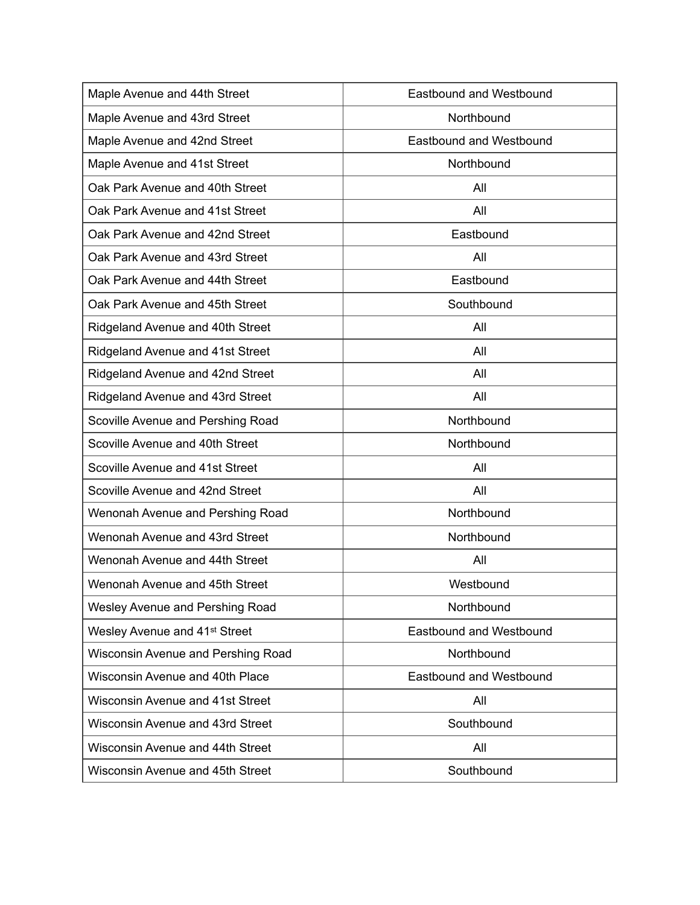| Maple Avenue and 44th Street              | <b>Eastbound and Westbound</b> |
|-------------------------------------------|--------------------------------|
| Maple Avenue and 43rd Street              | Northbound                     |
| Maple Avenue and 42nd Street              | <b>Eastbound and Westbound</b> |
| Maple Avenue and 41st Street              | Northbound                     |
| Oak Park Avenue and 40th Street           | All                            |
| Oak Park Avenue and 41st Street           | All                            |
| Oak Park Avenue and 42nd Street           | Eastbound                      |
| Oak Park Avenue and 43rd Street           | All                            |
| Oak Park Avenue and 44th Street           | Eastbound                      |
| Oak Park Avenue and 45th Street           | Southbound                     |
| Ridgeland Avenue and 40th Street          | All                            |
| Ridgeland Avenue and 41st Street          | All                            |
| Ridgeland Avenue and 42nd Street          | All                            |
| Ridgeland Avenue and 43rd Street          | All                            |
| Scoville Avenue and Pershing Road         | Northbound                     |
| Scoville Avenue and 40th Street           | Northbound                     |
| Scoville Avenue and 41st Street           | All                            |
| Scoville Avenue and 42nd Street           | All                            |
| Wenonah Avenue and Pershing Road          | Northbound                     |
| Wenonah Avenue and 43rd Street            | Northbound                     |
| Wenonah Avenue and 44th Street            | All                            |
| Wenonah Avenue and 45th Street            | Westbound                      |
| Wesley Avenue and Pershing Road           | Northbound                     |
| Wesley Avenue and 41 <sup>st</sup> Street | Eastbound and Westbound        |
| Wisconsin Avenue and Pershing Road        | Northbound                     |
| Wisconsin Avenue and 40th Place           | <b>Eastbound and Westbound</b> |
| <b>Wisconsin Avenue and 41st Street</b>   | All                            |
| Wisconsin Avenue and 43rd Street          | Southbound                     |
| Wisconsin Avenue and 44th Street          | All                            |
| Wisconsin Avenue and 45th Street          | Southbound                     |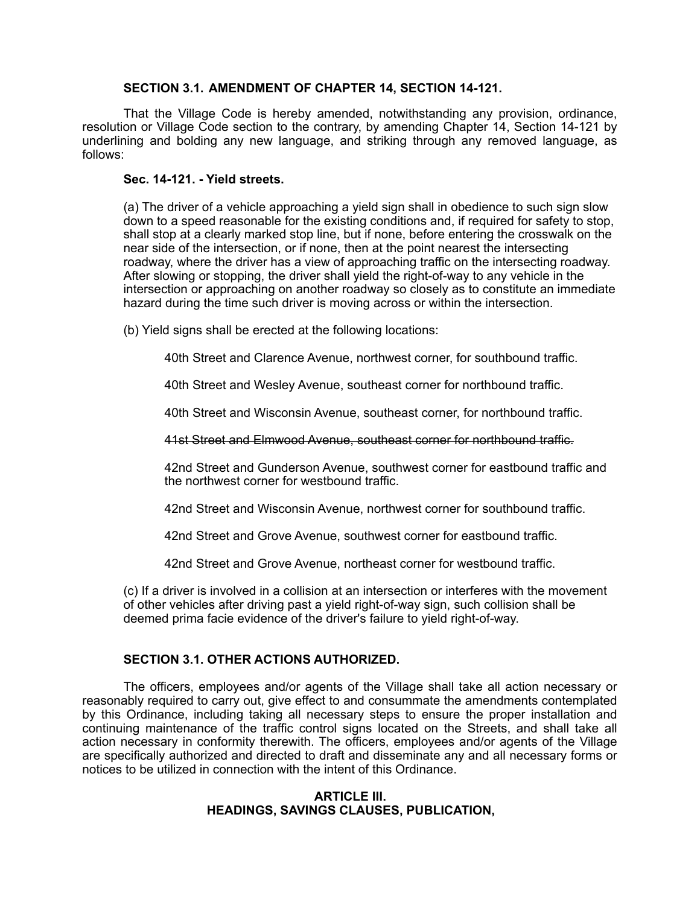# **SECTION 3.1. AMENDMENT OF CHAPTER 14, SECTION 14-121.**

That the Village Code is hereby amended, notwithstanding any provision, ordinance, resolution or Village Code section to the contrary, by amending Chapter 14, Section 14-121 by underlining and bolding any new language, and striking through any removed language, as follows:

# **Sec. 14-121. - Yield streets.**

(a) The driver of a vehicle approaching a yield sign shall in obedience to such sign slow down to a speed reasonable for the existing conditions and, if required for safety to stop, shall stop at a clearly marked stop line, but if none, before entering the crosswalk on the near side of the intersection, or if none, then at the point nearest the intersecting roadway, where the driver has a view of approaching traffic on the intersecting roadway. After slowing or stopping, the driver shall yield the right-of-way to any vehicle in the intersection or approaching on another roadway so closely as to constitute an immediate hazard during the time such driver is moving across or within the intersection.

(b) Yield signs shall be erected at the following locations:

40th Street and Clarence Avenue, northwest corner, for southbound traffic.

40th Street and Wesley Avenue, southeast corner for northbound traffic.

40th Street and Wisconsin Avenue, southeast corner, for northbound traffic.

41st Street and Elmwood Avenue, southeast corner for northbound traffic.

42nd Street and Gunderson Avenue, southwest corner for eastbound traffic and the northwest corner for westbound traffic.

42nd Street and Wisconsin Avenue, northwest corner for southbound traffic.

42nd Street and Grove Avenue, southwest corner for eastbound traffic.

42nd Street and Grove Avenue, northeast corner for westbound traffic.

(c) If a driver is involved in a collision at an intersection or interferes with the movement of other vehicles after driving past a yield right-of-way sign, such collision shall be deemed prima facie evidence of the driver's failure to yield right-of-way.

# **SECTION 3.1. OTHER ACTIONS AUTHORIZED.**

The officers, employees and/or agents of the Village shall take all action necessary or reasonably required to carry out, give effect to and consummate the amendments contemplated by this Ordinance, including taking all necessary steps to ensure the proper installation and continuing maintenance of the traffic control signs located on the Streets, and shall take all action necessary in conformity therewith. The officers, employees and/or agents of the Village are specifically authorized and directed to draft and disseminate any and all necessary forms or notices to be utilized in connection with the intent of this Ordinance.

# **ARTICLE III. HEADINGS, SAVINGS CLAUSES, PUBLICATION,**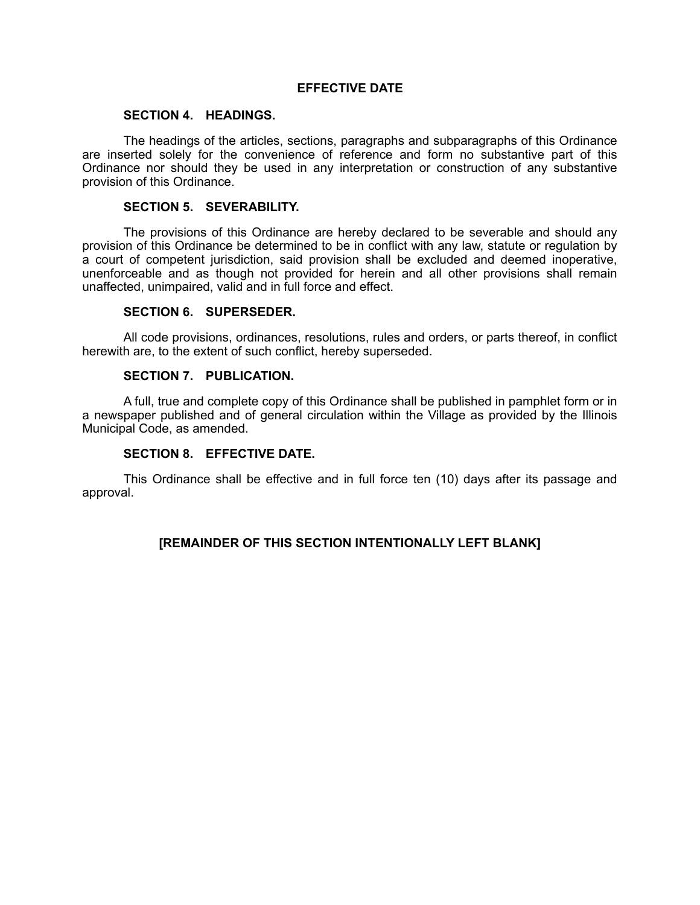# **EFFECTIVE DATE**

# **SECTION 4. HEADINGS.**

The headings of the articles, sections, paragraphs and subparagraphs of this Ordinance are inserted solely for the convenience of reference and form no substantive part of this Ordinance nor should they be used in any interpretation or construction of any substantive provision of this Ordinance.

## **SECTION 5. SEVERABILITY.**

The provisions of this Ordinance are hereby declared to be severable and should any provision of this Ordinance be determined to be in conflict with any law, statute or regulation by a court of competent jurisdiction, said provision shall be excluded and deemed inoperative, unenforceable and as though not provided for herein and all other provisions shall remain unaffected, unimpaired, valid and in full force and effect.

## **SECTION 6. SUPERSEDER.**

All code provisions, ordinances, resolutions, rules and orders, or parts thereof, in conflict herewith are, to the extent of such conflict, hereby superseded.

## **SECTION 7. PUBLICATION.**

A full, true and complete copy of this Ordinance shall be published in pamphlet form or in a newspaper published and of general circulation within the Village as provided by the Illinois Municipal Code, as amended.

# **SECTION 8. EFFECTIVE DATE.**

This Ordinance shall be effective and in full force ten (10) days after its passage and approval.

# **[REMAINDER OF THIS SECTION INTENTIONALLY LEFT BLANK]**